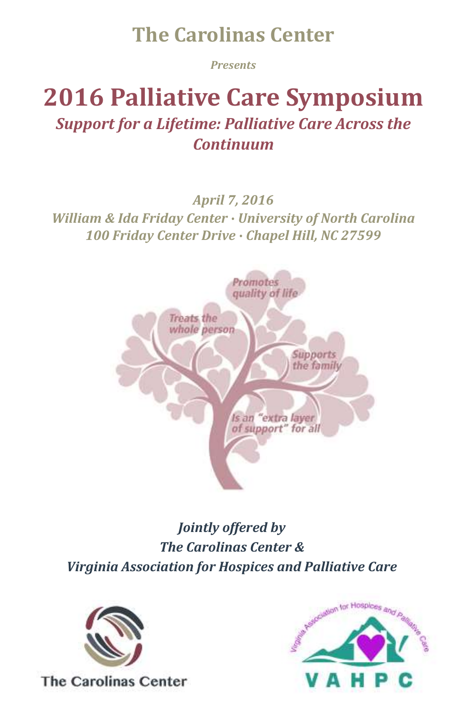# **The Carolinas Center**

*Presents*

# **2016 Palliative Care Symposium** *Support for a Lifetime: Palliative Care Across the Continuum*

### *April 7, 2016*

*William & Ida Friday Center ∙ University of North Carolina 100 Friday Center Drive ∙ Chapel Hill, NC 27599*



*Jointly offered by The Carolinas Center & Virginia Association for Hospices and Palliative Care*



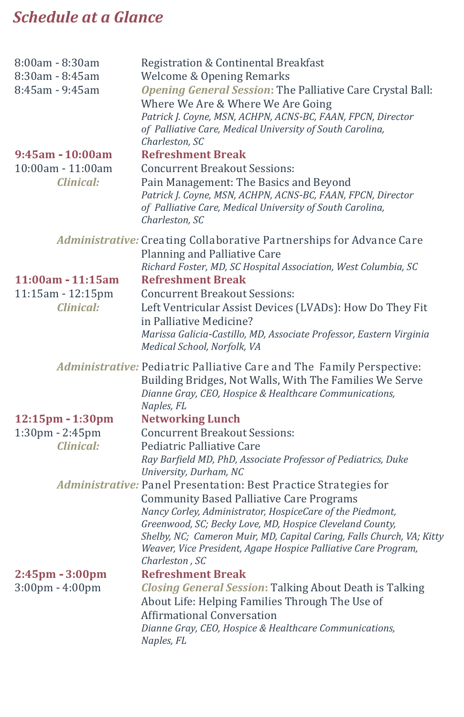## *Schedule at a Glance*

| 8:00am - 8:30am<br>$8:30$ am - $8:45$ am<br>$8:45$ am - 9:45am<br>$9:45$ am - 10:00am | Registration & Continental Breakfast<br><b>Welcome &amp; Opening Remarks</b><br>Opening General Session: The Palliative Care Crystal Ball:<br>Where We Are & Where We Are Going<br>Patrick J. Coyne, MSN, ACHPN, ACNS-BC, FAAN, FPCN, Director<br>of Palliative Care, Medical University of South Carolina,<br>Charleston, SC<br><b>Refreshment Break</b>                                                                               |
|---------------------------------------------------------------------------------------|-----------------------------------------------------------------------------------------------------------------------------------------------------------------------------------------------------------------------------------------------------------------------------------------------------------------------------------------------------------------------------------------------------------------------------------------|
| $10:00$ am - $11:00$ am<br>Clinical:                                                  | <b>Concurrent Breakout Sessions:</b><br>Pain Management: The Basics and Beyond<br>Patrick J. Coyne, MSN, ACHPN, ACNS-BC, FAAN, FPCN, Director<br>of Palliative Care, Medical University of South Carolina,<br>Charleston, SC                                                                                                                                                                                                            |
| 11:00am - 11:15am<br>11:15am - 12:15pm<br>Clinical:                                   | Administrative: Creating Collaborative Partnerships for Advance Care<br>Planning and Palliative Care<br>Richard Foster, MD, SC Hospital Association, West Columbia, SC<br><b>Refreshment Break</b><br><b>Concurrent Breakout Sessions:</b><br>Left Ventricular Assist Devices (LVADs): How Do They Fit<br>in Palliative Medicine?<br>Marissa Galicia-Castillo, MD, Associate Professor, Eastern Virginia<br>Medical School, Norfolk, VA |
|                                                                                       | Administrative: Pediatric Palliative Care and The Family Perspective:<br>Building Bridges, Not Walls, With The Families We Serve<br>Dianne Gray, CEO, Hospice & Healthcare Communications,<br>Naples, FL                                                                                                                                                                                                                                |
| 12:15pm - 1:30pm<br>$1:30$ pm - $2:45$ pm<br>Clinical:                                | <b>Networking Lunch</b><br><b>Concurrent Breakout Sessions:</b><br>Pediatric Palliative Care<br>Ray Barfield MD, PhD, Associate Professor of Pediatrics, Duke<br>University, Durham, NC                                                                                                                                                                                                                                                 |
|                                                                                       | Administrative: Panel Presentation: Best Practice Strategies for<br><b>Community Based Palliative Care Programs</b><br>Nancy Corley, Administrator, HospiceCare of the Piedmont,<br>Greenwood, SC; Becky Love, MD, Hospice Cleveland County,<br>Shelby, NC; Cameron Muir, MD, Capital Caring, Falls Church, VA; Kitty<br>Weaver, Vice President, Agape Hospice Palliative Care Program,<br>Charleston, SC                               |
| 2:45pm - 3:00pm<br>$3:00 \text{pm} - 4:00 \text{pm}$                                  | <b>Refreshment Break</b><br><b>Closing General Session: Talking About Death is Talking</b><br>About Life: Helping Families Through The Use of<br>Affirmational Conversation<br>Dianne Gray, CEO, Hospice & Healthcare Communications,<br>Naples, FL                                                                                                                                                                                     |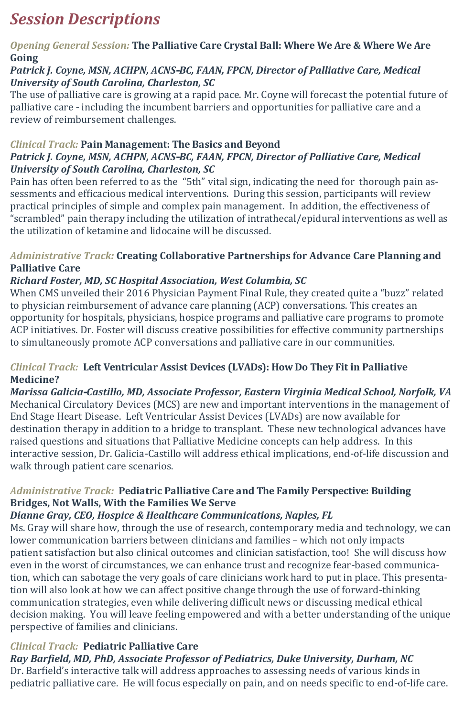### *Session Descriptions*

#### *Opening General Session:* **The Palliative Care Crystal Ball: Where We Are & Where We Are Going**

#### *Patrick J. Coyne, MSN, ACHPN, ACNS-BC, FAAN, FPCN, Director of Palliative Care, Medical University of South Carolina, Charleston, SC*

The use of palliative care is growing at a rapid pace. Mr. Coyne will forecast the potential future of palliative care - including the incumbent barriers and opportunities for palliative care and a review of reimbursement challenges.

#### *Clinical Track:* **Pain Management: The Basics and Beyond**  *Patrick J. Coyne, MSN, ACHPN, ACNS-BC, FAAN, FPCN, Director of Palliative Care, Medical University of South Carolina, Charleston, SC*

Pain has often been referred to as the "5th" vital sign, indicating the need for thorough pain assessments and efficacious medical interventions. During this session, participants will review practical principles of simple and complex pain management. In addition, the effectiveness of "scrambled" pain therapy including the utilization of intrathecal/epidural interventions as well as the utilization of ketamine and lidocaine will be discussed.

#### *Administrative Track:* **Creating Collaborative Partnerships for Advance Care Planning and Palliative Care**

### *Richard Foster, MD, SC Hospital Association, West Columbia, SC*

When CMS unveiled their 2016 Physician Payment Final Rule, they created quite a "buzz" related to physician reimbursement of advance care planning (ACP) conversations. This creates an opportunity for hospitals, physicians, hospice programs and palliative care programs to promote ACP initiatives. Dr. Foster will discuss creative possibilities for effective community partnerships to simultaneously promote ACP conversations and palliative care in our communities.

#### *Clinical Track:* **Left Ventricular Assist Devices (LVADs): How Do They Fit in Palliative Medicine?**

*Marissa Galicia-Castillo, MD, Associate Professor, Eastern Virginia Medical School, Norfolk, VA* Mechanical Circulatory Devices (MCS) are new and important interventions in the management of End Stage Heart Disease. Left Ventricular Assist Devices (LVADs) are now available for destination therapy in addition to a bridge to transplant. These new technological advances have raised questions and situations that Palliative Medicine concepts can help address. In this interactive session, Dr. Galicia-Castillo will address ethical implications, end-of-life discussion and walk through patient care scenarios.

### *Administrative Track:* **Pediatric Palliative Care and The Family Perspective: Building Bridges, Not Walls, With the Families We Serve**

### *Dianne Gray, CEO, Hospice & Healthcare Communications, Naples, FL*

Ms. Gray will share how, through the use of research, contemporary media and technology, we can lower communication barriers between clinicians and families – which not only impacts patient satisfaction but also clinical outcomes and clinician satisfaction, too! She will discuss how even in the worst of circumstances, we can enhance trust and recognize fear-based communication, which can sabotage the very goals of care clinicians work hard to put in place. This presentation will also look at how we can affect positive change through the use of forward-thinking communication strategies, even while delivering difficult news or discussing medical ethical decision making. You will leave feeling empowered and with a better understanding of the unique perspective of families and clinicians.

### *Clinical Track:* **Pediatric Palliative Care**

### *Ray Barfield, MD, PhD, Associate Professor of Pediatrics, Duke University, Durham, NC*

Dr. Barfield's interactive talk will address approaches to assessing needs of various kinds in pediatric palliative care. He will focus especially on pain, and on needs specific to end-of-life care.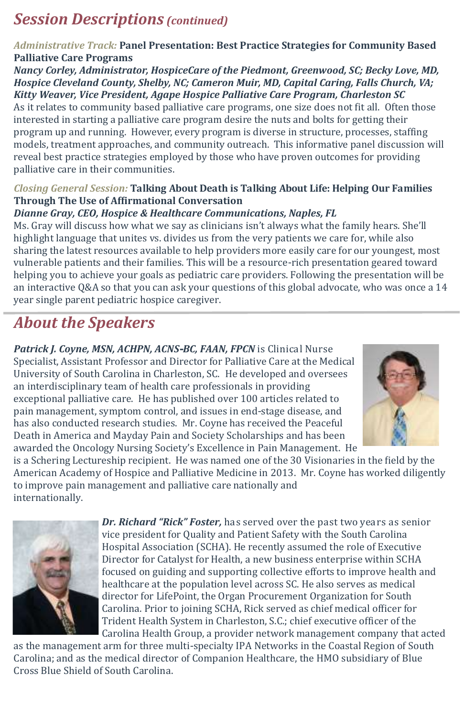### *Session Descriptions (continued)*

### *Administrative Track:* **Panel Presentation: Best Practice Strategies for Community Based Palliative Care Programs**

*Nancy Corley, Administrator, HospiceCare of the Piedmont, Greenwood, SC; Becky Love, MD, Hospice Cleveland County, Shelby, NC; Cameron Muir, MD, Capital Caring, Falls Church, VA; Kitty Weaver, Vice President, Agape Hospice Palliative Care Program, Charleston SC*

As it relates to community based palliative care programs, one size does not fit all. Often those interested in starting a palliative care program desire the nuts and bolts for getting their program up and running. However, every program is diverse in structure, processes, staffing models, treatment approaches, and community outreach. This informative panel discussion will reveal best practice strategies employed by those who have proven outcomes for providing palliative care in their communities.

#### *Closing General Session:* **Talking About Death is Talking About Life: Helping Our Families Through The Use of Affirmational Conversation**

### *Dianne Gray, CEO, Hospice & Healthcare Communications, Naples, FL*

Ms. Gray will discuss how what we say as clinicians isn't always what the family hears. She'll highlight language that unites vs. divides us from the very patients we care for, while also sharing the latest resources available to help providers more easily care for our youngest, most vulnerable patients and their families. This will be a resource-rich presentation geared toward helping you to achieve your goals as pediatric care providers. Following the presentation will be an interactive Q&A so that you can ask your questions of this global advocate, who was once a 14 year single parent pediatric hospice caregiver.

## *About the Speakers*

Patrick *J. Coyne, MSN, ACHPN, ACNS-BC, FAAN, FPCN* is Clinical Nurse Specialist, Assistant Professor and Director for Palliative Care at the Medical University of South Carolina in Charleston, SC. He developed and oversees an interdisciplinary team of health care professionals in providing exceptional palliative care. He has published over 100 articles related to pain management, symptom control, and issues in end-stage disease, and has also conducted research studies. Mr. Coyne has received the Peaceful Death in America and Mayday Pain and Society Scholarships and has been awarded the Oncology Nursing Society's Excellence in Pain Management. He



is a Schering Lectureship recipient. He was named one of the 30 Visionaries in the field by the American Academy of Hospice and Palliative Medicine in 2013. Mr. Coyne has worked diligently to improve pain management and palliative care nationally and internationally.



*Dr. Richard "Rick" Foster,* has served over the past two years as senior vice president for Quality and Patient Safety with the South Carolina Hospital Association (SCHA). He recently assumed the role of Executive Director for Catalyst for Health, a new business enterprise within SCHA focused on guiding and supporting collective efforts to improve health and healthcare at the population level across SC. He also serves as medical director for LifePoint, the Organ Procurement Organization for South Carolina. Prior to joining SCHA, Rick served as chief medical officer for Trident Health System in Charleston, S.C.; chief executive officer of the Carolina Health Group, a provider network management company that acted

as the management arm for three multi-specialty IPA Networks in the Coastal Region of South Carolina; and as the medical director of Companion Healthcare, the HMO subsidiary of Blue Cross Blue Shield of South Carolina.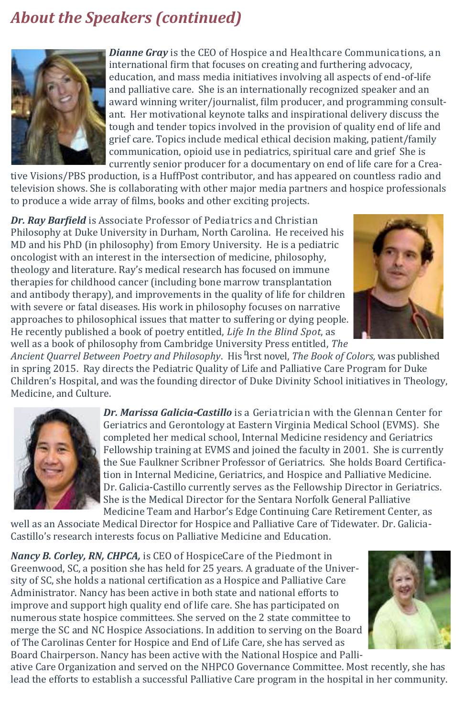### *About the Speakers (continued)*



*Dianne Gray* is the CEO of Hospice and Healthcare Communications, an international firm that focuses on creating and furthering advocacy, education, and mass media initiatives involving all aspects of end-of-life and palliative care. She is an internationally recognized speaker and an award winning writer/journalist, film producer, and programming consultant. Her motivational keynote talks and inspirational delivery discuss the tough and tender topics involved in the provision of quality end of life and grief care. Topics include medical ethical decision making, patient/family communication, opioid use in pediatrics, spiritual care and grief She is currently senior producer for a documentary on end of life care for a Crea-

tive Visions/PBS production, is a HuffPost contributor, and has appeared on countless radio and television shows. She is collaborating with other major media partners and hospice professionals to produce a wide array of films, books and other exciting projects.

*Dr. Ray Barfield* is Associate Professor of Pediatrics and Christian Philosophy at Duke University in Durham, North Carolina. He received his MD and his PhD (in philosophy) from Emory University. He is a pediatric oncologist with an interest in the intersection of medicine, philosophy, theology and literature. Ray's medical research has focused on immune therapies for childhood cancer (including bone marrow transplantation and antibody therapy), and improvements in the quality of life for children with severe or fatal diseases. His work in philosophy focuses on narrative approaches to philosophical issues that matter to suffering or dying people. He recently published a book of poetry entitled, *Life In the Blind Spot*, as well as a book of philosophy from Cambridge University Press entitled, *The* 



*Ancient Quarrel Between Poetry and Philosophy*. His first novel, *The Book of Colors,* was published in spring 2015. Ray directs the Pediatric Quality of Life and Palliative Care Program for Duke Children's Hospital, and was the founding director of Duke Divinity School initiatives in Theology, Medicine, and Culture.



*Dr. Marissa Galicia-Castillo* is a Geriatrician with the Glennan Center for Geriatrics and Gerontology at Eastern Virginia Medical School (EVMS). She completed her medical school, Internal Medicine residency and Geriatrics Fellowship training at EVMS and joined the faculty in 2001. She is currently the Sue Faulkner Scribner Professor of Geriatrics. She holds Board Certification in Internal Medicine, Geriatrics, and Hospice and Palliative Medicine. Dr. Galicia-Castillo currently serves as the Fellowship Director in Geriatrics. She is the Medical Director for the Sentara Norfolk General Palliative Medicine Team and Harbor's Edge Continuing Care Retirement Center, as

well as an Associate Medical Director for Hospice and Palliative Care of Tidewater. Dr. Galicia-Castillo's research interests focus on Palliative Medicine and Education.

*Nancy B. Corley, RN, CHPCA,* is CEO of HospiceCare of the Piedmont in Greenwood, SC, a position she has held for 25 years. A graduate of the University of SC, she holds a national certification as a Hospice and Palliative Care Administrator. Nancy has been active in both state and national efforts to improve and support high quality end of life care. She has participated on numerous state hospice committees. She served on the 2 state committee to merge the SC and NC Hospice Associations. In addition to serving on the Board of The Carolinas Center for Hospice and End of Life Care, she has served as Board Chairperson. Nancy has been active with the National Hospice and Palli-



ative Care Organization and served on the NHPCO Governance Committee. Most recently, she has lead the efforts to establish a successful Palliative Care program in the hospital in her community.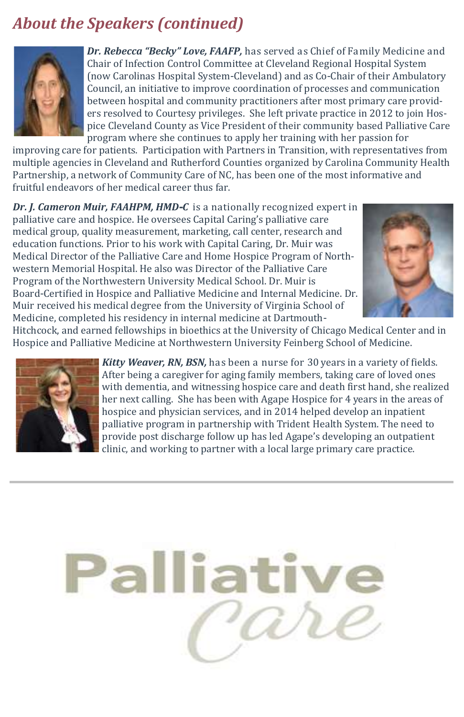### *About the Speakers (continued)*



*Dr. Rebecca "Becky" Love, FAAFP,* has served as Chief of Family Medicine and Chair of Infection Control Committee at Cleveland Regional Hospital System (now Carolinas Hospital System-Cleveland) and as Co-Chair of their Ambulatory Council, an initiative to improve coordination of processes and communication between hospital and community practitioners after most primary care providers resolved to Courtesy privileges. She left private practice in 2012 to join Hospice Cleveland County as Vice President of their community based Palliative Care program where she continues to apply her training with her passion for

improving care for patients. Participation with Partners in Transition, with representatives from multiple agencies in Cleveland and Rutherford Counties organized by Carolina Community Health Partnership, a network of Community Care of NC, has been one of the most informative and fruitful endeavors of her medical career thus far.

*Dr. J. Cameron Muir, FAAHPM, HMD-C* is a nationally recognized expert in palliative care and hospice. He oversees Capital Caring's palliative care medical group, quality measurement, marketing, call center, research and education functions. Prior to his work with Capital Caring, Dr. Muir was Medical Director of the Palliative Care and Home Hospice Program of Northwestern Memorial Hospital. He also was Director of the Palliative Care Program of the Northwestern University Medical School. Dr. Muir is Board-Certified in Hospice and Palliative Medicine and Internal Medicine. Dr. Muir received his medical degree from the University of Virginia School of Medicine, completed his residency in internal medicine at Dartmouth-



Hitchcock, and earned fellowships in bioethics at the University of Chicago Medical Center and in Hospice and Palliative Medicine at Northwestern University Feinberg School of Medicine.



*Kitty Weaver, RN, BSN,* has been a nurse for 30 years in a variety of fields. After being a caregiver for aging family members, taking care of loved ones with dementia, and witnessing hospice care and death first hand, she realized her next calling. She has been with Agape Hospice for 4 years in the areas of hospice and physician services, and in 2014 helped develop an inpatient palliative program in partnership with Trident Health System. The need to provide post discharge follow up has led Agape's developing an outpatient clinic, and working to partner with a local large primary care practice.